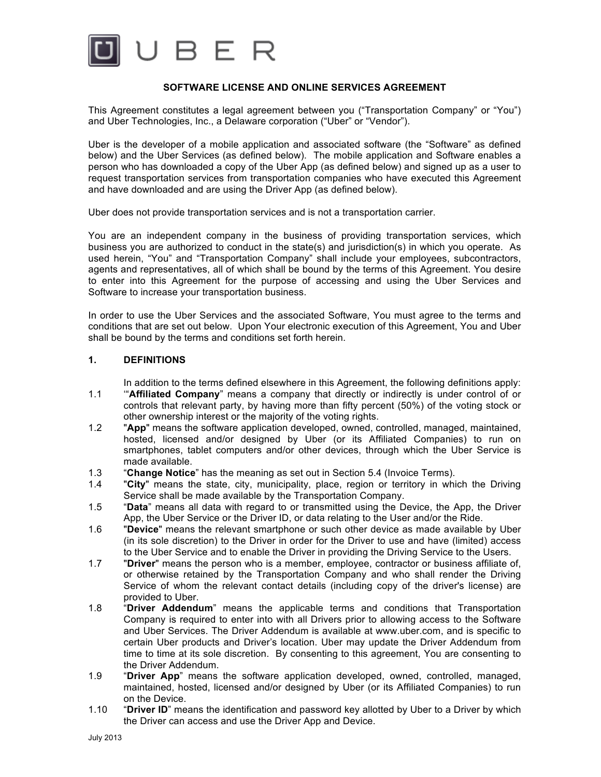

### **SOFTWARE LICENSE AND ONLINE SERVICES AGREEMENT**

This Agreement constitutes a legal agreement between you ("Transportation Company" or "You") and Uber Technologies, Inc., a Delaware corporation ("Uber" or "Vendor").

Uber is the developer of a mobile application and associated software (the "Software" as defined below) and the Uber Services (as defined below). The mobile application and Software enables a person who has downloaded a copy of the Uber App (as defined below) and signed up as a user to request transportation services from transportation companies who have executed this Agreement and have downloaded and are using the Driver App (as defined below).

Uber does not provide transportation services and is not a transportation carrier.

You are an independent company in the business of providing transportation services, which business you are authorized to conduct in the state(s) and jurisdiction(s) in which you operate. As used herein, "You" and "Transportation Company" shall include your employees, subcontractors, agents and representatives, all of which shall be bound by the terms of this Agreement. You desire to enter into this Agreement for the purpose of accessing and using the Uber Services and Software to increase your transportation business.

In order to use the Uber Services and the associated Software, You must agree to the terms and conditions that are set out below. Upon Your electronic execution of this Agreement, You and Uber shall be bound by the terms and conditions set forth herein.

#### **1. DEFINITIONS**

In addition to the terms defined elsewhere in this Agreement, the following definitions apply:

- 1.1 '"**Affiliated Company**" means a company that directly or indirectly is under control of or controls that relevant party, by having more than fifty percent (50%) of the voting stock or other ownership interest or the majority of the voting rights.
- 1.2 "**App**" means the software application developed, owned, controlled, managed, maintained, hosted, licensed and/or designed by Uber (or its Affiliated Companies) to run on smartphones, tablet computers and/or other devices, through which the Uber Service is made available.
- 1.3 "**Change Notice**" has the meaning as set out in Section 5.4 (Invoice Terms).
- 1.4 "**City**" means the state, city, municipality, place, region or territory in which the Driving Service shall be made available by the Transportation Company.
- 1.5 "**Data**" means all data with regard to or transmitted using the Device, the App, the Driver App, the Uber Service or the Driver ID, or data relating to the User and/or the Ride.
- 1.6 "**Device**" means the relevant smartphone or such other device as made available by Uber (in its sole discretion) to the Driver in order for the Driver to use and have (limited) access to the Uber Service and to enable the Driver in providing the Driving Service to the Users.
- 1.7 "**Driver**" means the person who is a member, employee, contractor or business affiliate of, or otherwise retained by the Transportation Company and who shall render the Driving Service of whom the relevant contact details (including copy of the driver's license) are provided to Uber.
- 1.8 "**Driver Addendum**" means the applicable terms and conditions that Transportation Company is required to enter into with all Drivers prior to allowing access to the Software and Uber Services. The Driver Addendum is available at www.uber.com, and is specific to certain Uber products and Driver's location. Uber may update the Driver Addendum from time to time at its sole discretion. By consenting to this agreement, You are consenting to the Driver Addendum.
- 1.9 "**Driver App**" means the software application developed, owned, controlled, managed, maintained, hosted, licensed and/or designed by Uber (or its Affiliated Companies) to run on the Device.
- 1.10 "**Driver ID**" means the identification and password key allotted by Uber to a Driver by which the Driver can access and use the Driver App and Device.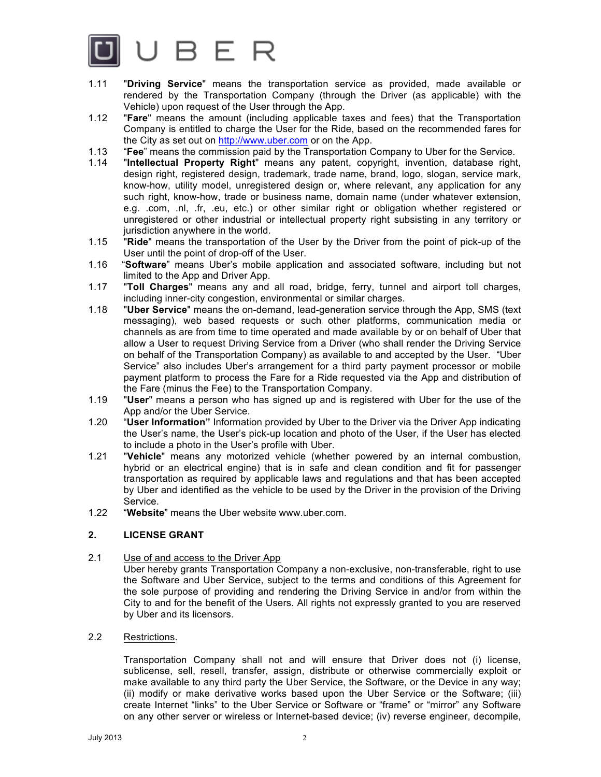

- 1.11 "**Driving Service**" means the transportation service as provided, made available or rendered by the Transportation Company (through the Driver (as applicable) with the Vehicle) upon request of the User through the App.
- 1.12 "**Fare**" means the amount (including applicable taxes and fees) that the Transportation Company is entitled to charge the User for the Ride, based on the recommended fares for the City as set out on http://www.uber.com or on the App.
- 1.13 "**Fee**" means the commission paid by the Transportation Company to Uber for the Service.
- 1.14 "**Intellectual Property Right**" means any patent, copyright, invention, database right, design right, registered design, trademark, trade name, brand, logo, slogan, service mark, know-how, utility model, unregistered design or, where relevant, any application for any such right, know-how, trade or business name, domain name (under whatever extension, e.g. .com, .nl, .fr, .eu, etc.) or other similar right or obligation whether registered or unregistered or other industrial or intellectual property right subsisting in any territory or jurisdiction anywhere in the world.
- 1.15 "**Ride**" means the transportation of the User by the Driver from the point of pick-up of the User until the point of drop-off of the User.
- 1.16 "**Software**" means Uber's mobile application and associated software, including but not limited to the App and Driver App.
- 1.17 "**Toll Charges**" means any and all road, bridge, ferry, tunnel and airport toll charges, including inner-city congestion, environmental or similar charges.
- 1.18 "**Uber Service**" means the on-demand, lead-generation service through the App, SMS (text messaging), web based requests or such other platforms, communication media or channels as are from time to time operated and made available by or on behalf of Uber that allow a User to request Driving Service from a Driver (who shall render the Driving Service on behalf of the Transportation Company) as available to and accepted by the User. "Uber Service" also includes Uber's arrangement for a third party payment processor or mobile payment platform to process the Fare for a Ride requested via the App and distribution of the Fare (minus the Fee) to the Transportation Company.
- 1.19 "**User**" means a person who has signed up and is registered with Uber for the use of the App and/or the Uber Service.
- 1.20 "**User Information"** Information provided by Uber to the Driver via the Driver App indicating the User's name, the User's pick-up location and photo of the User, if the User has elected to include a photo in the User's profile with Uber.
- 1.21 "**Vehicle**" means any motorized vehicle (whether powered by an internal combustion, hybrid or an electrical engine) that is in safe and clean condition and fit for passenger transportation as required by applicable laws and regulations and that has been accepted by Uber and identified as the vehicle to be used by the Driver in the provision of the Driving Service.
- 1.22 "**Website**" means the Uber website www.uber.com.

## **2. LICENSE GRANT**

2.1 Use of and access to the Driver App

Uber hereby grants Transportation Company a non-exclusive, non-transferable, right to use the Software and Uber Service, subject to the terms and conditions of this Agreement for the sole purpose of providing and rendering the Driving Service in and/or from within the City to and for the benefit of the Users. All rights not expressly granted to you are reserved by Uber and its licensors.

2.2 Restrictions.

Transportation Company shall not and will ensure that Driver does not (i) license, sublicense, sell, resell, transfer, assign, distribute or otherwise commercially exploit or make available to any third party the Uber Service, the Software, or the Device in any way; (ii) modify or make derivative works based upon the Uber Service or the Software; (iii) create Internet "links" to the Uber Service or Software or "frame" or "mirror" any Software on any other server or wireless or Internet-based device; (iv) reverse engineer, decompile,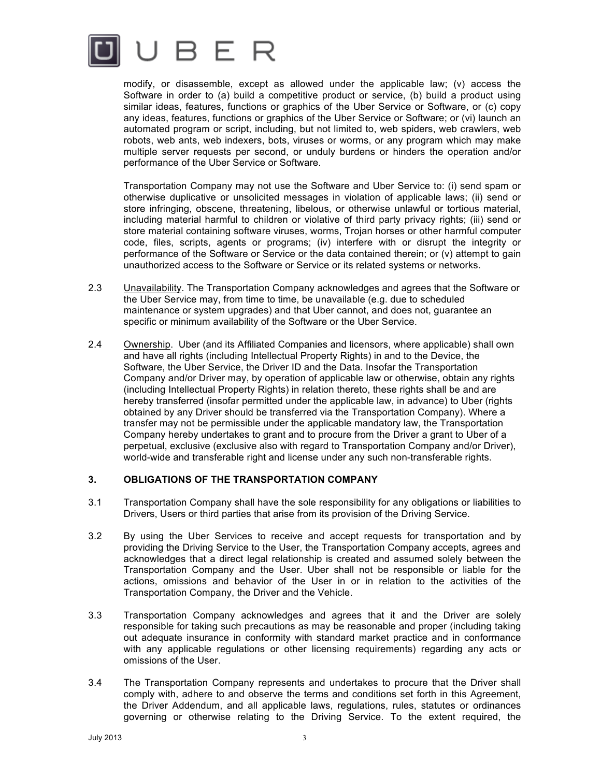

modify, or disassemble, except as allowed under the applicable law; (v) access the Software in order to (a) build a competitive product or service, (b) build a product using similar ideas, features, functions or graphics of the Uber Service or Software, or (c) copy any ideas, features, functions or graphics of the Uber Service or Software; or (vi) launch an automated program or script, including, but not limited to, web spiders, web crawlers, web robots, web ants, web indexers, bots, viruses or worms, or any program which may make multiple server requests per second, or unduly burdens or hinders the operation and/or performance of the Uber Service or Software.

Transportation Company may not use the Software and Uber Service to: (i) send spam or otherwise duplicative or unsolicited messages in violation of applicable laws; (ii) send or store infringing, obscene, threatening, libelous, or otherwise unlawful or tortious material, including material harmful to children or violative of third party privacy rights; (iii) send or store material containing software viruses, worms, Trojan horses or other harmful computer code, files, scripts, agents or programs; (iv) interfere with or disrupt the integrity or performance of the Software or Service or the data contained therein; or (v) attempt to gain unauthorized access to the Software or Service or its related systems or networks.

- 2.3 Unavailability. The Transportation Company acknowledges and agrees that the Software or the Uber Service may, from time to time, be unavailable (e.g. due to scheduled maintenance or system upgrades) and that Uber cannot, and does not, guarantee an specific or minimum availability of the Software or the Uber Service.
- 2.4 Ownership. Uber (and its Affiliated Companies and licensors, where applicable) shall own and have all rights (including Intellectual Property Rights) in and to the Device, the Software, the Uber Service, the Driver ID and the Data. Insofar the Transportation Company and/or Driver may, by operation of applicable law or otherwise, obtain any rights (including Intellectual Property Rights) in relation thereto, these rights shall be and are hereby transferred (insofar permitted under the applicable law, in advance) to Uber (rights obtained by any Driver should be transferred via the Transportation Company). Where a transfer may not be permissible under the applicable mandatory law, the Transportation Company hereby undertakes to grant and to procure from the Driver a grant to Uber of a perpetual, exclusive (exclusive also with regard to Transportation Company and/or Driver), world-wide and transferable right and license under any such non-transferable rights.

### **3. OBLIGATIONS OF THE TRANSPORTATION COMPANY**

- 3.1 Transportation Company shall have the sole responsibility for any obligations or liabilities to Drivers, Users or third parties that arise from its provision of the Driving Service.
- 3.2 By using the Uber Services to receive and accept requests for transportation and by providing the Driving Service to the User, the Transportation Company accepts, agrees and acknowledges that a direct legal relationship is created and assumed solely between the Transportation Company and the User. Uber shall not be responsible or liable for the actions, omissions and behavior of the User in or in relation to the activities of the Transportation Company, the Driver and the Vehicle.
- 3.3 Transportation Company acknowledges and agrees that it and the Driver are solely responsible for taking such precautions as may be reasonable and proper (including taking out adequate insurance in conformity with standard market practice and in conformance with any applicable regulations or other licensing requirements) regarding any acts or omissions of the User.
- 3.4 The Transportation Company represents and undertakes to procure that the Driver shall comply with, adhere to and observe the terms and conditions set forth in this Agreement, the Driver Addendum, and all applicable laws, regulations, rules, statutes or ordinances governing or otherwise relating to the Driving Service. To the extent required, the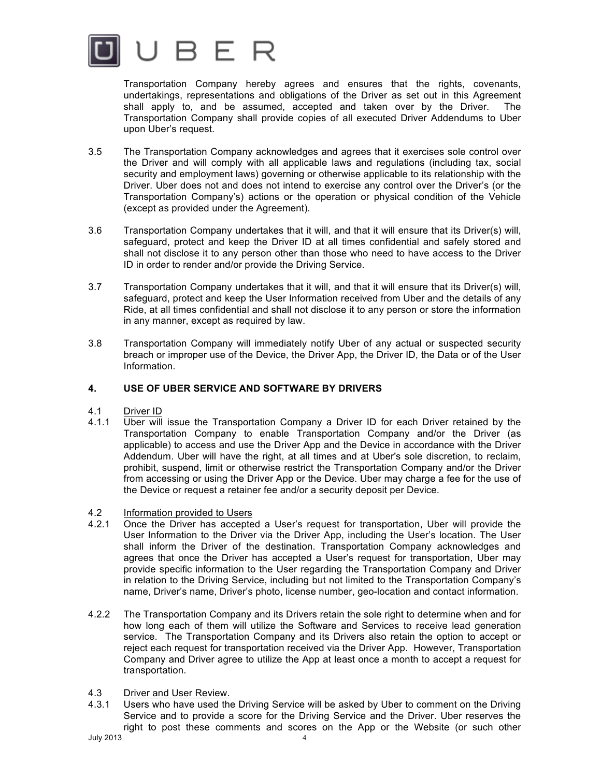

Transportation Company hereby agrees and ensures that the rights, covenants, undertakings, representations and obligations of the Driver as set out in this Agreement shall apply to, and be assumed, accepted and taken over by the Driver. The Transportation Company shall provide copies of all executed Driver Addendums to Uber upon Uber's request.

- 3.5 The Transportation Company acknowledges and agrees that it exercises sole control over the Driver and will comply with all applicable laws and regulations (including tax, social security and employment laws) governing or otherwise applicable to its relationship with the Driver. Uber does not and does not intend to exercise any control over the Driver's (or the Transportation Company's) actions or the operation or physical condition of the Vehicle (except as provided under the Agreement).
- 3.6 Transportation Company undertakes that it will, and that it will ensure that its Driver(s) will, safeguard, protect and keep the Driver ID at all times confidential and safely stored and shall not disclose it to any person other than those who need to have access to the Driver ID in order to render and/or provide the Driving Service.
- 3.7 Transportation Company undertakes that it will, and that it will ensure that its Driver(s) will, safeguard, protect and keep the User Information received from Uber and the details of any Ride, at all times confidential and shall not disclose it to any person or store the information in any manner, except as required by law.
- 3.8 Transportation Company will immediately notify Uber of any actual or suspected security breach or improper use of the Device, the Driver App, the Driver ID, the Data or of the User Information.

# **4. USE OF UBER SERVICE AND SOFTWARE BY DRIVERS**

- 4.1 Driver ID
- 4.1.1 Uber will issue the Transportation Company a Driver ID for each Driver retained by the Transportation Company to enable Transportation Company and/or the Driver (as applicable) to access and use the Driver App and the Device in accordance with the Driver Addendum. Uber will have the right, at all times and at Uber's sole discretion, to reclaim, prohibit, suspend, limit or otherwise restrict the Transportation Company and/or the Driver from accessing or using the Driver App or the Device. Uber may charge a fee for the use of the Device or request a retainer fee and/or a security deposit per Device.
- 4.2 Information provided to Users
- 4.2.1 Once the Driver has accepted a User's request for transportation, Uber will provide the User Information to the Driver via the Driver App, including the User's location. The User shall inform the Driver of the destination. Transportation Company acknowledges and agrees that once the Driver has accepted a User's request for transportation, Uber may provide specific information to the User regarding the Transportation Company and Driver in relation to the Driving Service, including but not limited to the Transportation Company's name, Driver's name, Driver's photo, license number, geo-location and contact information.
- 4.2.2 The Transportation Company and its Drivers retain the sole right to determine when and for how long each of them will utilize the Software and Services to receive lead generation service. The Transportation Company and its Drivers also retain the option to accept or reject each request for transportation received via the Driver App. However, Transportation Company and Driver agree to utilize the App at least once a month to accept a request for transportation.
- 4.3 Driver and User Review.
- 4.3.1 Users who have used the Driving Service will be asked by Uber to comment on the Driving Service and to provide a score for the Driving Service and the Driver. Uber reserves the right to post these comments and scores on the App or the Website (or such other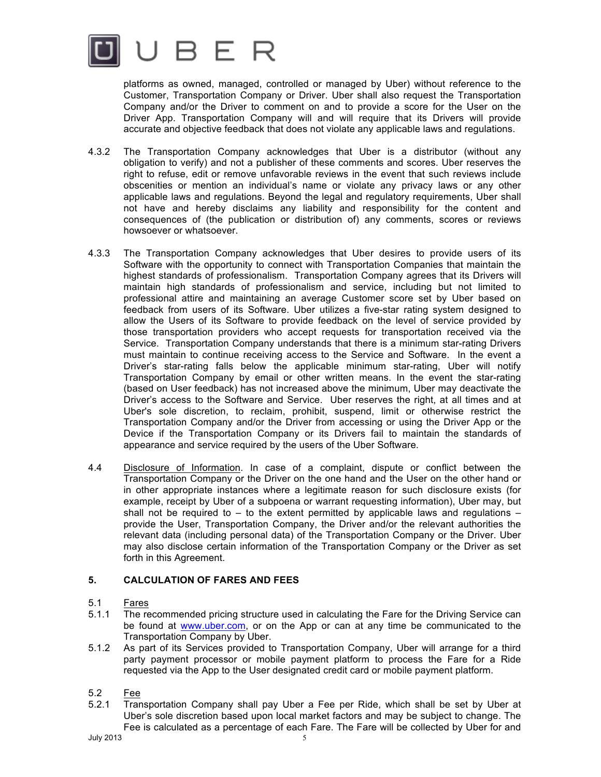

platforms as owned, managed, controlled or managed by Uber) without reference to the Customer, Transportation Company or Driver. Uber shall also request the Transportation Company and/or the Driver to comment on and to provide a score for the User on the Driver App. Transportation Company will and will require that its Drivers will provide accurate and objective feedback that does not violate any applicable laws and regulations.

- 4.3.2 The Transportation Company acknowledges that Uber is a distributor (without any obligation to verify) and not a publisher of these comments and scores. Uber reserves the right to refuse, edit or remove unfavorable reviews in the event that such reviews include obscenities or mention an individual's name or violate any privacy laws or any other applicable laws and regulations. Beyond the legal and regulatory requirements, Uber shall not have and hereby disclaims any liability and responsibility for the content and consequences of (the publication or distribution of) any comments, scores or reviews howsoever or whatsoever.
- 4.3.3 The Transportation Company acknowledges that Uber desires to provide users of its Software with the opportunity to connect with Transportation Companies that maintain the highest standards of professionalism. Transportation Company agrees that its Drivers will maintain high standards of professionalism and service, including but not limited to professional attire and maintaining an average Customer score set by Uber based on feedback from users of its Software. Uber utilizes a five-star rating system designed to allow the Users of its Software to provide feedback on the level of service provided by those transportation providers who accept requests for transportation received via the Service. Transportation Company understands that there is a minimum star-rating Drivers must maintain to continue receiving access to the Service and Software. In the event a Driver's star-rating falls below the applicable minimum star-rating, Uber will notify Transportation Company by email or other written means. In the event the star-rating (based on User feedback) has not increased above the minimum, Uber may deactivate the Driver's access to the Software and Service. Uber reserves the right, at all times and at Uber's sole discretion, to reclaim, prohibit, suspend, limit or otherwise restrict the Transportation Company and/or the Driver from accessing or using the Driver App or the Device if the Transportation Company or its Drivers fail to maintain the standards of appearance and service required by the users of the Uber Software.
- 4.4 Disclosure of Information. In case of a complaint, dispute or conflict between the Transportation Company or the Driver on the one hand and the User on the other hand or in other appropriate instances where a legitimate reason for such disclosure exists (for example, receipt by Uber of a subpoena or warrant requesting information), Uber may, but shall not be required to  $-$  to the extent permitted by applicable laws and regulations  $$ provide the User, Transportation Company, the Driver and/or the relevant authorities the relevant data (including personal data) of the Transportation Company or the Driver. Uber may also disclose certain information of the Transportation Company or the Driver as set forth in this Agreement.

# **5. CALCULATION OF FARES AND FEES**

- 5.1 Fares
- 5.1.1 The recommended pricing structure used in calculating the Fare for the Driving Service can be found at www.uber.com, or on the App or can at any time be communicated to the Transportation Company by Uber.
- 5.1.2 As part of its Services provided to Transportation Company, Uber will arrange for a third party payment processor or mobile payment platform to process the Fare for a Ride requested via the App to the User designated credit card or mobile payment platform.
- $5.2$  Fee<br> $5.2.1$  Tran
- Transportation Company shall pay Uber a Fee per Ride, which shall be set by Uber at Uber's sole discretion based upon local market factors and may be subject to change. The Fee is calculated as a percentage of each Fare. The Fare will be collected by Uber for and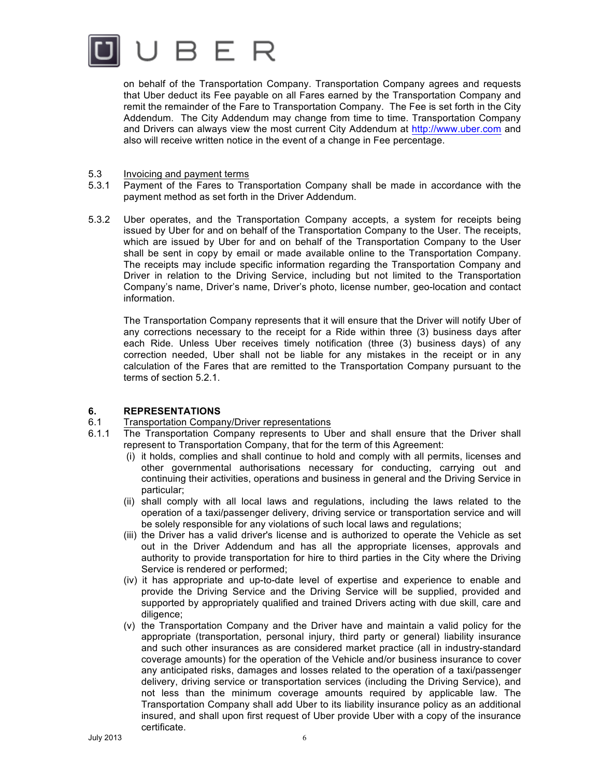

on behalf of the Transportation Company. Transportation Company agrees and requests that Uber deduct its Fee payable on all Fares earned by the Transportation Company and remit the remainder of the Fare to Transportation Company. The Fee is set forth in the City Addendum. The City Addendum may change from time to time. Transportation Company and Drivers can always view the most current City Addendum at http://www.uber.com and also will receive written notice in the event of a change in Fee percentage.

- 5.3 Invoicing and payment terms
- 5.3.1 Payment of the Fares to Transportation Company shall be made in accordance with the payment method as set forth in the Driver Addendum.
- 5.3.2 Uber operates, and the Transportation Company accepts, a system for receipts being issued by Uber for and on behalf of the Transportation Company to the User. The receipts, which are issued by Uber for and on behalf of the Transportation Company to the User shall be sent in copy by email or made available online to the Transportation Company. The receipts may include specific information regarding the Transportation Company and Driver in relation to the Driving Service, including but not limited to the Transportation Company's name, Driver's name, Driver's photo, license number, geo-location and contact information.

The Transportation Company represents that it will ensure that the Driver will notify Uber of any corrections necessary to the receipt for a Ride within three (3) business days after each Ride. Unless Uber receives timely notification (three (3) business days) of any correction needed, Uber shall not be liable for any mistakes in the receipt or in any calculation of the Fares that are remitted to the Transportation Company pursuant to the terms of section 5.2.1.

### **6. REPRESENTATIONS**

### 6.1 Transportation Company/Driver representations

- 6.1.1 The Transportation Company represents to Uber and shall ensure that the Driver shall represent to Transportation Company, that for the term of this Agreement:
	- (i) it holds, complies and shall continue to hold and comply with all permits, licenses and other governmental authorisations necessary for conducting, carrying out and continuing their activities, operations and business in general and the Driving Service in particular;
	- (ii) shall comply with all local laws and regulations, including the laws related to the operation of a taxi/passenger delivery, driving service or transportation service and will be solely responsible for any violations of such local laws and regulations;
	- (iii) the Driver has a valid driver's license and is authorized to operate the Vehicle as set out in the Driver Addendum and has all the appropriate licenses, approvals and authority to provide transportation for hire to third parties in the City where the Driving Service is rendered or performed;
	- (iv) it has appropriate and up-to-date level of expertise and experience to enable and provide the Driving Service and the Driving Service will be supplied, provided and supported by appropriately qualified and trained Drivers acting with due skill, care and diligence;
	- (v) the Transportation Company and the Driver have and maintain a valid policy for the appropriate (transportation, personal injury, third party or general) liability insurance and such other insurances as are considered market practice (all in industry-standard coverage amounts) for the operation of the Vehicle and/or business insurance to cover any anticipated risks, damages and losses related to the operation of a taxi/passenger delivery, driving service or transportation services (including the Driving Service), and not less than the minimum coverage amounts required by applicable law. The Transportation Company shall add Uber to its liability insurance policy as an additional insured, and shall upon first request of Uber provide Uber with a copy of the insurance certificate.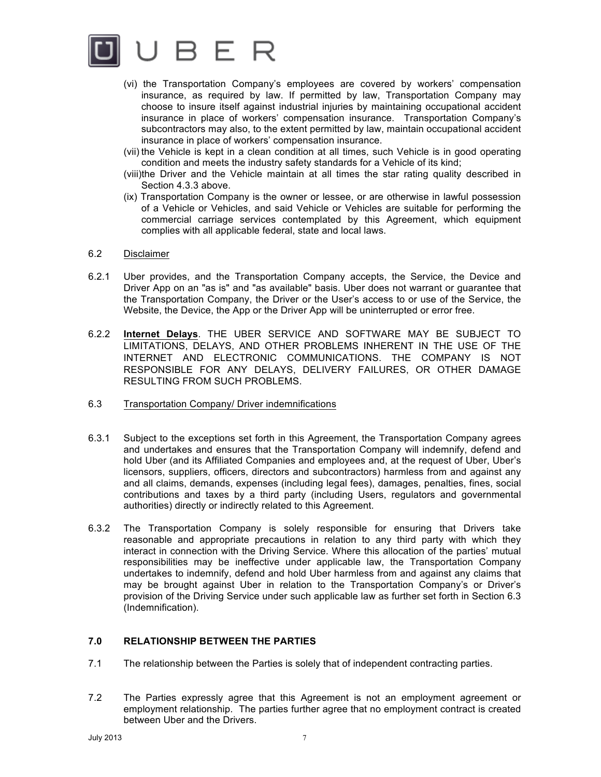

- (vi) the Transportation Company's employees are covered by workers' compensation insurance, as required by law. If permitted by law, Transportation Company may choose to insure itself against industrial injuries by maintaining occupational accident insurance in place of workers' compensation insurance. Transportation Company's subcontractors may also, to the extent permitted by law, maintain occupational accident insurance in place of workers' compensation insurance.
- (vii) the Vehicle is kept in a clean condition at all times, such Vehicle is in good operating condition and meets the industry safety standards for a Vehicle of its kind;
- (viii)the Driver and the Vehicle maintain at all times the star rating quality described in Section 4.3.3 above.
- (ix) Transportation Company is the owner or lessee, or are otherwise in lawful possession of a Vehicle or Vehicles, and said Vehicle or Vehicles are suitable for performing the commercial carriage services contemplated by this Agreement, which equipment complies with all applicable federal, state and local laws.
- 6.2 Disclaimer
- 6.2.1 Uber provides, and the Transportation Company accepts, the Service, the Device and Driver App on an "as is" and "as available" basis. Uber does not warrant or guarantee that the Transportation Company, the Driver or the User's access to or use of the Service, the Website, the Device, the App or the Driver App will be uninterrupted or error free.
- 6.2.2 **Internet Delays**. THE UBER SERVICE AND SOFTWARE MAY BE SUBJECT TO LIMITATIONS, DELAYS, AND OTHER PROBLEMS INHERENT IN THE USE OF THE INTERNET AND ELECTRONIC COMMUNICATIONS. THE COMPANY IS NOT RESPONSIBLE FOR ANY DELAYS, DELIVERY FAILURES, OR OTHER DAMAGE RESULTING FROM SUCH PROBLEMS.
- 6.3 Transportation Company/ Driver indemnifications
- 6.3.1 Subject to the exceptions set forth in this Agreement, the Transportation Company agrees and undertakes and ensures that the Transportation Company will indemnify, defend and hold Uber (and its Affiliated Companies and employees and, at the request of Uber, Uber's licensors, suppliers, officers, directors and subcontractors) harmless from and against any and all claims, demands, expenses (including legal fees), damages, penalties, fines, social contributions and taxes by a third party (including Users, regulators and governmental authorities) directly or indirectly related to this Agreement.
- 6.3.2 The Transportation Company is solely responsible for ensuring that Drivers take reasonable and appropriate precautions in relation to any third party with which they interact in connection with the Driving Service. Where this allocation of the parties' mutual responsibilities may be ineffective under applicable law, the Transportation Company undertakes to indemnify, defend and hold Uber harmless from and against any claims that may be brought against Uber in relation to the Transportation Company's or Driver's provision of the Driving Service under such applicable law as further set forth in Section 6.3 (Indemnification).

### **7.0 RELATIONSHIP BETWEEN THE PARTIES**

- 7.1 The relationship between the Parties is solely that of independent contracting parties.
- 7.2 The Parties expressly agree that this Agreement is not an employment agreement or employment relationship. The parties further agree that no employment contract is created between Uber and the Drivers.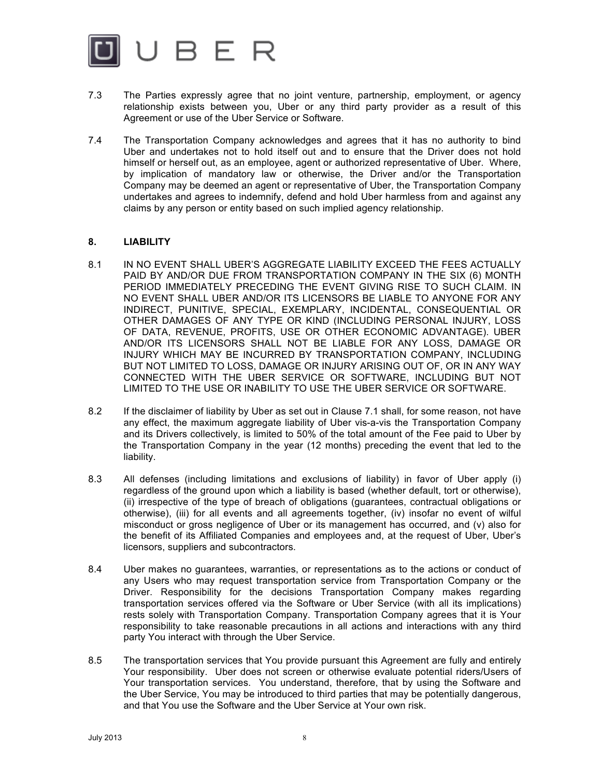

- 7.3 The Parties expressly agree that no joint venture, partnership, employment, or agency relationship exists between you, Uber or any third party provider as a result of this Agreement or use of the Uber Service or Software.
- 7.4 The Transportation Company acknowledges and agrees that it has no authority to bind Uber and undertakes not to hold itself out and to ensure that the Driver does not hold himself or herself out, as an employee, agent or authorized representative of Uber. Where, by implication of mandatory law or otherwise, the Driver and/or the Transportation Company may be deemed an agent or representative of Uber, the Transportation Company undertakes and agrees to indemnify, defend and hold Uber harmless from and against any claims by any person or entity based on such implied agency relationship.

### **8. LIABILITY**

- 8.1 IN NO EVENT SHALL UBER'S AGGREGATE LIABILITY EXCEED THE FEES ACTUALLY PAID BY AND/OR DUE FROM TRANSPORTATION COMPANY IN THE SIX (6) MONTH PERIOD IMMEDIATELY PRECEDING THE EVENT GIVING RISE TO SUCH CLAIM. IN NO EVENT SHALL UBER AND/OR ITS LICENSORS BE LIABLE TO ANYONE FOR ANY INDIRECT, PUNITIVE, SPECIAL, EXEMPLARY, INCIDENTAL, CONSEQUENTIAL OR OTHER DAMAGES OF ANY TYPE OR KIND (INCLUDING PERSONAL INJURY, LOSS OF DATA, REVENUE, PROFITS, USE OR OTHER ECONOMIC ADVANTAGE). UBER AND/OR ITS LICENSORS SHALL NOT BE LIABLE FOR ANY LOSS, DAMAGE OR INJURY WHICH MAY BE INCURRED BY TRANSPORTATION COMPANY, INCLUDING BUT NOT LIMITED TO LOSS, DAMAGE OR INJURY ARISING OUT OF, OR IN ANY WAY CONNECTED WITH THE UBER SERVICE OR SOFTWARE, INCLUDING BUT NOT LIMITED TO THE USE OR INABILITY TO USE THE UBER SERVICE OR SOFTWARE.
- 8.2 If the disclaimer of liability by Uber as set out in Clause 7.1 shall, for some reason, not have any effect, the maximum aggregate liability of Uber vis-a-vis the Transportation Company and its Drivers collectively, is limited to 50% of the total amount of the Fee paid to Uber by the Transportation Company in the year (12 months) preceding the event that led to the liability.
- 8.3 All defenses (including limitations and exclusions of liability) in favor of Uber apply (i) regardless of the ground upon which a liability is based (whether default, tort or otherwise), (ii) irrespective of the type of breach of obligations (guarantees, contractual obligations or otherwise), (iii) for all events and all agreements together, (iv) insofar no event of wilful misconduct or gross negligence of Uber or its management has occurred, and (v) also for the benefit of its Affiliated Companies and employees and, at the request of Uber, Uber's licensors, suppliers and subcontractors.
- 8.4 Uber makes no guarantees, warranties, or representations as to the actions or conduct of any Users who may request transportation service from Transportation Company or the Driver. Responsibility for the decisions Transportation Company makes regarding transportation services offered via the Software or Uber Service (with all its implications) rests solely with Transportation Company. Transportation Company agrees that it is Your responsibility to take reasonable precautions in all actions and interactions with any third party You interact with through the Uber Service.
- 8.5 The transportation services that You provide pursuant this Agreement are fully and entirely Your responsibility. Uber does not screen or otherwise evaluate potential riders/Users of Your transportation services. You understand, therefore, that by using the Software and the Uber Service, You may be introduced to third parties that may be potentially dangerous, and that You use the Software and the Uber Service at Your own risk.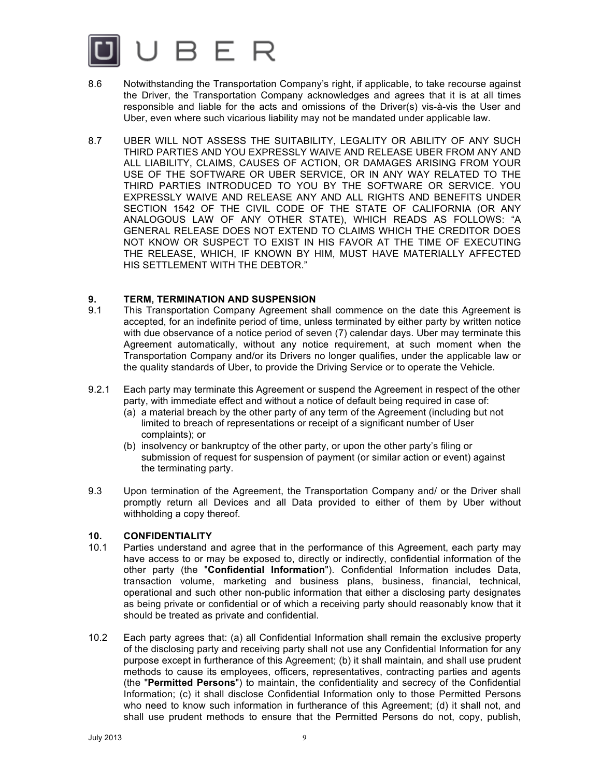

- 8.6 Notwithstanding the Transportation Company's right, if applicable, to take recourse against the Driver, the Transportation Company acknowledges and agrees that it is at all times responsible and liable for the acts and omissions of the Driver(s) vis-à-vis the User and Uber, even where such vicarious liability may not be mandated under applicable law.
- 8.7 UBER WILL NOT ASSESS THE SUITABILITY, LEGALITY OR ABILITY OF ANY SUCH THIRD PARTIES AND YOU EXPRESSLY WAIVE AND RELEASE UBER FROM ANY AND ALL LIABILITY, CLAIMS, CAUSES OF ACTION, OR DAMAGES ARISING FROM YOUR USE OF THE SOFTWARE OR UBER SERVICE, OR IN ANY WAY RELATED TO THE THIRD PARTIES INTRODUCED TO YOU BY THE SOFTWARE OR SERVICE. YOU EXPRESSLY WAIVE AND RELEASE ANY AND ALL RIGHTS AND BENEFITS UNDER SECTION 1542 OF THE CIVIL CODE OF THE STATE OF CALIFORNIA (OR ANY ANALOGOUS LAW OF ANY OTHER STATE), WHICH READS AS FOLLOWS: "A GENERAL RELEASE DOES NOT EXTEND TO CLAIMS WHICH THE CREDITOR DOES NOT KNOW OR SUSPECT TO EXIST IN HIS FAVOR AT THE TIME OF EXECUTING THE RELEASE, WHICH, IF KNOWN BY HIM, MUST HAVE MATERIALLY AFFECTED HIS SETTLEMENT WITH THE DEBTOR."

# **9. TERM, TERMINATION AND SUSPENSION**

- 9.1 This Transportation Company Agreement shall commence on the date this Agreement is accepted, for an indefinite period of time, unless terminated by either party by written notice with due observance of a notice period of seven (7) calendar days. Uber may terminate this Agreement automatically, without any notice requirement, at such moment when the Transportation Company and/or its Drivers no longer qualifies, under the applicable law or the quality standards of Uber, to provide the Driving Service or to operate the Vehicle.
- 9.2.1 Each party may terminate this Agreement or suspend the Agreement in respect of the other party, with immediate effect and without a notice of default being required in case of:
	- (a) a material breach by the other party of any term of the Agreement (including but not limited to breach of representations or receipt of a significant number of User complaints); or
	- (b) insolvency or bankruptcy of the other party, or upon the other party's filing or submission of request for suspension of payment (or similar action or event) against the terminating party.
- 9.3 Upon termination of the Agreement, the Transportation Company and/ or the Driver shall promptly return all Devices and all Data provided to either of them by Uber without withholding a copy thereof.

### **10. CONFIDENTIALITY**

- 10.1 Parties understand and agree that in the performance of this Agreement, each party may have access to or may be exposed to, directly or indirectly, confidential information of the other party (the "**Confidential Information**"). Confidential Information includes Data, transaction volume, marketing and business plans, business, financial, technical, operational and such other non-public information that either a disclosing party designates as being private or confidential or of which a receiving party should reasonably know that it should be treated as private and confidential.
- 10.2 Each party agrees that: (a) all Confidential Information shall remain the exclusive property of the disclosing party and receiving party shall not use any Confidential Information for any purpose except in furtherance of this Agreement; (b) it shall maintain, and shall use prudent methods to cause its employees, officers, representatives, contracting parties and agents (the "**Permitted Persons**") to maintain, the confidentiality and secrecy of the Confidential Information; (c) it shall disclose Confidential Information only to those Permitted Persons who need to know such information in furtherance of this Agreement; (d) it shall not, and shall use prudent methods to ensure that the Permitted Persons do not, copy, publish,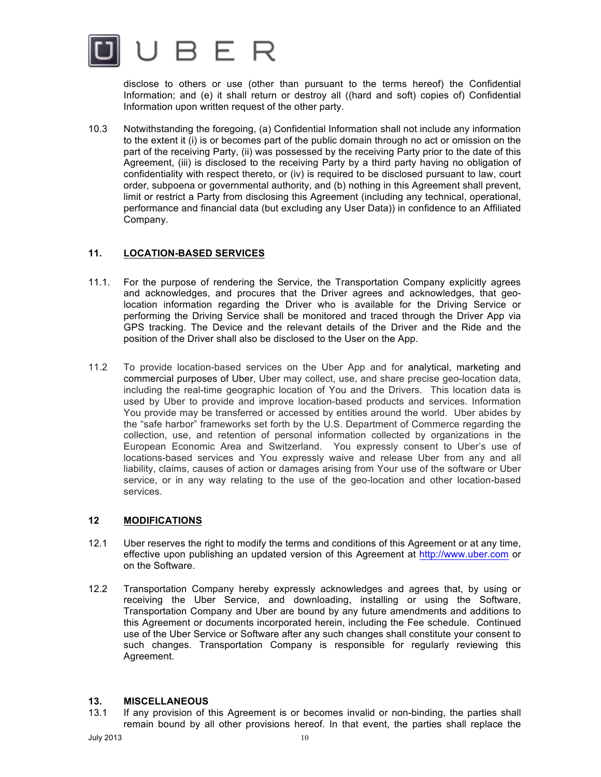

disclose to others or use (other than pursuant to the terms hereof) the Confidential Information; and (e) it shall return or destroy all ((hard and soft) copies of) Confidential Information upon written request of the other party.

10.3 Notwithstanding the foregoing, (a) Confidential Information shall not include any information to the extent it (i) is or becomes part of the public domain through no act or omission on the part of the receiving Party, (ii) was possessed by the receiving Party prior to the date of this Agreement, (iii) is disclosed to the receiving Party by a third party having no obligation of confidentiality with respect thereto, or (iv) is required to be disclosed pursuant to law, court order, subpoena or governmental authority, and (b) nothing in this Agreement shall prevent, limit or restrict a Party from disclosing this Agreement (including any technical, operational, performance and financial data (but excluding any User Data)) in confidence to an Affiliated Company.

# **11. LOCATION-BASED SERVICES**

- 11.1. For the purpose of rendering the Service, the Transportation Company explicitly agrees and acknowledges, and procures that the Driver agrees and acknowledges, that geolocation information regarding the Driver who is available for the Driving Service or performing the Driving Service shall be monitored and traced through the Driver App via GPS tracking. The Device and the relevant details of the Driver and the Ride and the position of the Driver shall also be disclosed to the User on the App.
- 11.2 To provide location-based services on the Uber App and for analytical, marketing and commercial purposes of Uber, Uber may collect, use, and share precise geo-location data, including the real-time geographic location of You and the Drivers. This location data is used by Uber to provide and improve location-based products and services. Information You provide may be transferred or accessed by entities around the world. Uber abides by the "safe harbor" frameworks set forth by the U.S. Department of Commerce regarding the collection, use, and retention of personal information collected by organizations in the European Economic Area and Switzerland. You expressly consent to Uber's use of locations-based services and You expressly waive and release Uber from any and all liability, claims, causes of action or damages arising from Your use of the software or Uber service, or in any way relating to the use of the geo-location and other location-based services.

# **12 MODIFICATIONS**

- 12.1 Uber reserves the right to modify the terms and conditions of this Agreement or at any time, effective upon publishing an updated version of this Agreement at http://www.uber.com or on the Software.
- 12.2 Transportation Company hereby expressly acknowledges and agrees that, by using or receiving the Uber Service, and downloading, installing or using the Software, Transportation Company and Uber are bound by any future amendments and additions to this Agreement or documents incorporated herein, including the Fee schedule. Continued use of the Uber Service or Software after any such changes shall constitute your consent to such changes. Transportation Company is responsible for regularly reviewing this Agreement.

### **13. MISCELLANEOUS**

13.1 If any provision of this Agreement is or becomes invalid or non-binding, the parties shall remain bound by all other provisions hereof. In that event, the parties shall replace the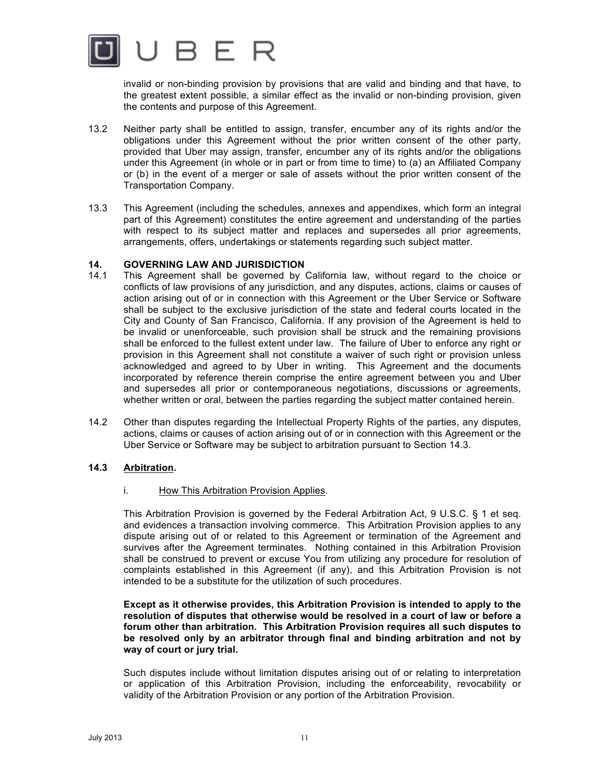

invalid or non-binding provision by provisions that are valid and binding and that have, to the greatest extent possible, a similar effect as the invalid or non-binding provision, given the contents and purpose of this Agreement.

- 13.2 Neither party shall be entitled to assign, transfer, encumber any of its rights and/or the obligations under this Agreement without the prior written consent of the other party, provided that Uber may assign, transfer, encumber any of its rights and/or the obligations under this Agreement (in whole or in part or from time to time) to (a) an Affiliated Company or (b) in the event of a merger or sale of assets without the prior written consent of the Transportation Company.
- 13.3 This Agreement (including the schedules, annexes and appendixes, which form an integral part of this Agreement) constitutes the entire agreement and understanding of the parties with respect to its subject matter and replaces and supersedes all prior agreements, arrangements, offers, undertakings or statements regarding such subject matter.

### **14. GOVERNING LAW AND JURISDICTION**

- 14.1 This Agreement shall be governed by California law, without regard to the choice or conflicts of law provisions of any jurisdiction, and any disputes, actions, claims or causes of action arising out of or in connection with this Agreement or the Uber Service or Software shall be subject to the exclusive jurisdiction of the state and federal courts located in the City and County of San Francisco, California. If any provision of the Agreement is held to be invalid or unenforceable, such provision shall be struck and the remaining provisions shall be enforced to the fullest extent under law. The failure of Uber to enforce any right or provision in this Agreement shall not constitute a waiver of such right or provision unless acknowledged and agreed to by Uber in writing. This Agreement and the documents incorporated by reference therein comprise the entire agreement between you and Uber and supersedes all prior or contemporaneous negotiations, discussions or agreements, whether written or oral, between the parties regarding the subject matter contained herein.
- 14.2 Other than disputes regarding the Intellectual Property Rights of the parties, any disputes, actions, claims or causes of action arising out of or in connection with this Agreement or the Uber Service or Software may be subject to arbitration pursuant to Section 14.3.

### **14.3 Arbitration.**

### i. How This Arbitration Provision Applies.

This Arbitration Provision is governed by the Federal Arbitration Act, 9 U.S.C. § 1 et seq. and evidences a transaction involving commerce. This Arbitration Provision applies to any dispute arising out of or related to this Agreement or termination of the Agreement and survives after the Agreement terminates. Nothing contained in this Arbitration Provision shall be construed to prevent or excuse You from utilizing any procedure for resolution of complaints established in this Agreement (if any), and this Arbitration Provision is not intended to be a substitute for the utilization of such procedures.

**Except as it otherwise provides, this Arbitration Provision is intended to apply to the resolution of disputes that otherwise would be resolved in a court of law or before a forum other than arbitration. This Arbitration Provision requires all such disputes to be resolved only by an arbitrator through final and binding arbitration and not by way of court or jury trial.**

Such disputes include without limitation disputes arising out of or relating to interpretation or application of this Arbitration Provision, including the enforceability, revocability or validity of the Arbitration Provision or any portion of the Arbitration Provision.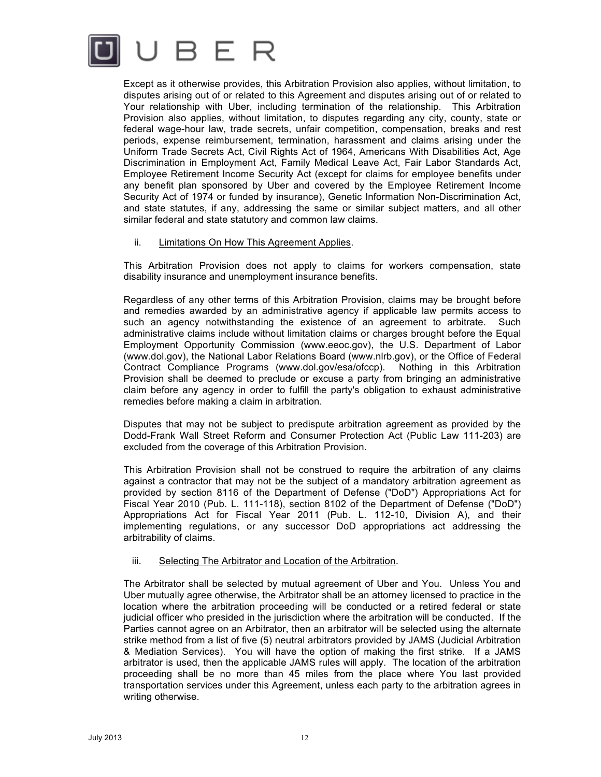

Except as it otherwise provides, this Arbitration Provision also applies, without limitation, to disputes arising out of or related to this Agreement and disputes arising out of or related to Your relationship with Uber, including termination of the relationship. This Arbitration Provision also applies, without limitation, to disputes regarding any city, county, state or federal wage-hour law, trade secrets, unfair competition, compensation, breaks and rest periods, expense reimbursement, termination, harassment and claims arising under the Uniform Trade Secrets Act, Civil Rights Act of 1964, Americans With Disabilities Act, Age Discrimination in Employment Act, Family Medical Leave Act, Fair Labor Standards Act, Employee Retirement Income Security Act (except for claims for employee benefits under any benefit plan sponsored by Uber and covered by the Employee Retirement Income Security Act of 1974 or funded by insurance), Genetic Information Non-Discrimination Act, and state statutes, if any, addressing the same or similar subject matters, and all other similar federal and state statutory and common law claims.

#### ii. Limitations On How This Agreement Applies.

This Arbitration Provision does not apply to claims for workers compensation, state disability insurance and unemployment insurance benefits.

Regardless of any other terms of this Arbitration Provision, claims may be brought before and remedies awarded by an administrative agency if applicable law permits access to such an agency notwithstanding the existence of an agreement to arbitrate. Such administrative claims include without limitation claims or charges brought before the Equal Employment Opportunity Commission (www.eeoc.gov), the U.S. Department of Labor (www.dol.gov), the National Labor Relations Board (www.nlrb.gov), or the Office of Federal Contract Compliance Programs (www.dol.gov/esa/ofccp). Nothing in this Arbitration Provision shall be deemed to preclude or excuse a party from bringing an administrative claim before any agency in order to fulfill the party's obligation to exhaust administrative remedies before making a claim in arbitration.

Disputes that may not be subject to predispute arbitration agreement as provided by the Dodd-Frank Wall Street Reform and Consumer Protection Act (Public Law 111-203) are excluded from the coverage of this Arbitration Provision.

This Arbitration Provision shall not be construed to require the arbitration of any claims against a contractor that may not be the subject of a mandatory arbitration agreement as provided by section 8116 of the Department of Defense ("DoD") Appropriations Act for Fiscal Year 2010 (Pub. L. 111-118), section 8102 of the Department of Defense ("DoD") Appropriations Act for Fiscal Year 2011 (Pub. L. 112-10, Division A), and their implementing regulations, or any successor DoD appropriations act addressing the arbitrability of claims.

#### iii. Selecting The Arbitrator and Location of the Arbitration.

The Arbitrator shall be selected by mutual agreement of Uber and You. Unless You and Uber mutually agree otherwise, the Arbitrator shall be an attorney licensed to practice in the location where the arbitration proceeding will be conducted or a retired federal or state judicial officer who presided in the jurisdiction where the arbitration will be conducted. If the Parties cannot agree on an Arbitrator, then an arbitrator will be selected using the alternate strike method from a list of five (5) neutral arbitrators provided by JAMS (Judicial Arbitration & Mediation Services). You will have the option of making the first strike. If a JAMS arbitrator is used, then the applicable JAMS rules will apply. The location of the arbitration proceeding shall be no more than 45 miles from the place where You last provided transportation services under this Agreement, unless each party to the arbitration agrees in writing otherwise.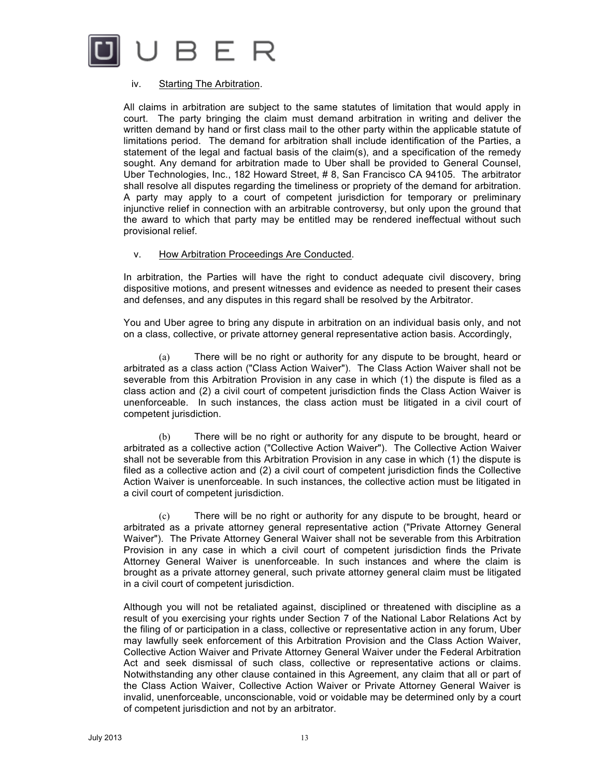

#### iv. Starting The Arbitration.

All claims in arbitration are subject to the same statutes of limitation that would apply in court. The party bringing the claim must demand arbitration in writing and deliver the written demand by hand or first class mail to the other party within the applicable statute of limitations period. The demand for arbitration shall include identification of the Parties, a statement of the legal and factual basis of the claim(s), and a specification of the remedy sought. Any demand for arbitration made to Uber shall be provided to General Counsel, Uber Technologies, Inc., 182 Howard Street, # 8, San Francisco CA 94105. The arbitrator shall resolve all disputes regarding the timeliness or propriety of the demand for arbitration. A party may apply to a court of competent jurisdiction for temporary or preliminary injunctive relief in connection with an arbitrable controversy, but only upon the ground that the award to which that party may be entitled may be rendered ineffectual without such provisional relief.

#### v. How Arbitration Proceedings Are Conducted.

In arbitration, the Parties will have the right to conduct adequate civil discovery, bring dispositive motions, and present witnesses and evidence as needed to present their cases and defenses, and any disputes in this regard shall be resolved by the Arbitrator.

You and Uber agree to bring any dispute in arbitration on an individual basis only, and not on a class, collective, or private attorney general representative action basis. Accordingly,

(a) There will be no right or authority for any dispute to be brought, heard or arbitrated as a class action ("Class Action Waiver"). The Class Action Waiver shall not be severable from this Arbitration Provision in any case in which (1) the dispute is filed as a class action and (2) a civil court of competent jurisdiction finds the Class Action Waiver is unenforceable. In such instances, the class action must be litigated in a civil court of competent jurisdiction.

(b) There will be no right or authority for any dispute to be brought, heard or arbitrated as a collective action ("Collective Action Waiver"). The Collective Action Waiver shall not be severable from this Arbitration Provision in any case in which (1) the dispute is filed as a collective action and (2) a civil court of competent jurisdiction finds the Collective Action Waiver is unenforceable. In such instances, the collective action must be litigated in a civil court of competent jurisdiction.

(c) There will be no right or authority for any dispute to be brought, heard or arbitrated as a private attorney general representative action ("Private Attorney General Waiver"). The Private Attorney General Waiver shall not be severable from this Arbitration Provision in any case in which a civil court of competent jurisdiction finds the Private Attorney General Waiver is unenforceable. In such instances and where the claim is brought as a private attorney general, such private attorney general claim must be litigated in a civil court of competent jurisdiction.

Although you will not be retaliated against, disciplined or threatened with discipline as a result of you exercising your rights under Section 7 of the National Labor Relations Act by the filing of or participation in a class, collective or representative action in any forum, Uber may lawfully seek enforcement of this Arbitration Provision and the Class Action Waiver, Collective Action Waiver and Private Attorney General Waiver under the Federal Arbitration Act and seek dismissal of such class, collective or representative actions or claims. Notwithstanding any other clause contained in this Agreement, any claim that all or part of the Class Action Waiver, Collective Action Waiver or Private Attorney General Waiver is invalid, unenforceable, unconscionable, void or voidable may be determined only by a court of competent jurisdiction and not by an arbitrator.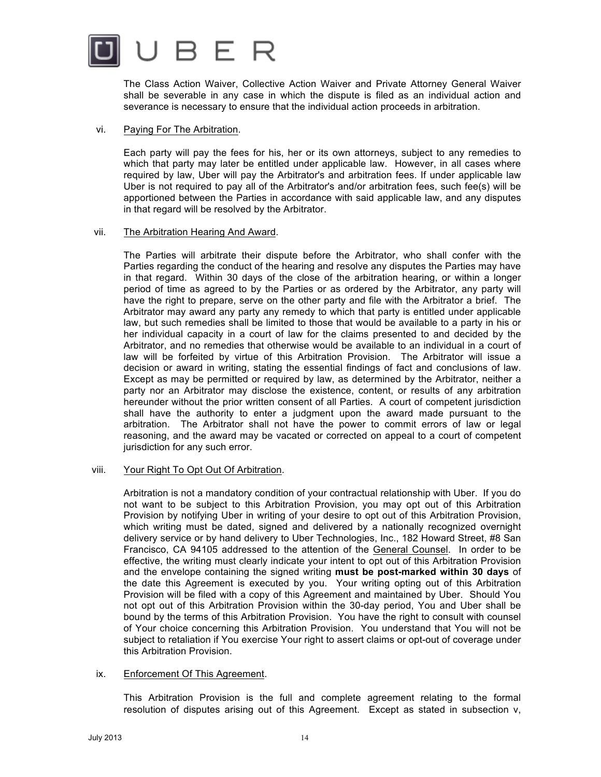

The Class Action Waiver, Collective Action Waiver and Private Attorney General Waiver shall be severable in any case in which the dispute is filed as an individual action and severance is necessary to ensure that the individual action proceeds in arbitration.

### vi. Paying For The Arbitration.

Each party will pay the fees for his, her or its own attorneys, subject to any remedies to which that party may later be entitled under applicable law. However, in all cases where required by law, Uber will pay the Arbitrator's and arbitration fees. If under applicable law Uber is not required to pay all of the Arbitrator's and/or arbitration fees, such fee(s) will be apportioned between the Parties in accordance with said applicable law, and any disputes in that regard will be resolved by the Arbitrator.

#### vii. The Arbitration Hearing And Award.

The Parties will arbitrate their dispute before the Arbitrator, who shall confer with the Parties regarding the conduct of the hearing and resolve any disputes the Parties may have in that regard. Within 30 days of the close of the arbitration hearing, or within a longer period of time as agreed to by the Parties or as ordered by the Arbitrator, any party will have the right to prepare, serve on the other party and file with the Arbitrator a brief. The Arbitrator may award any party any remedy to which that party is entitled under applicable law, but such remedies shall be limited to those that would be available to a party in his or her individual capacity in a court of law for the claims presented to and decided by the Arbitrator, and no remedies that otherwise would be available to an individual in a court of law will be forfeited by virtue of this Arbitration Provision. The Arbitrator will issue a decision or award in writing, stating the essential findings of fact and conclusions of law. Except as may be permitted or required by law, as determined by the Arbitrator, neither a party nor an Arbitrator may disclose the existence, content, or results of any arbitration hereunder without the prior written consent of all Parties. A court of competent jurisdiction shall have the authority to enter a judgment upon the award made pursuant to the arbitration. The Arbitrator shall not have the power to commit errors of law or legal reasoning, and the award may be vacated or corrected on appeal to a court of competent jurisdiction for any such error.

### viii. Your Right To Opt Out Of Arbitration.

Arbitration is not a mandatory condition of your contractual relationship with Uber. If you do not want to be subject to this Arbitration Provision, you may opt out of this Arbitration Provision by notifying Uber in writing of your desire to opt out of this Arbitration Provision, which writing must be dated, signed and delivered by a nationally recognized overnight delivery service or by hand delivery to Uber Technologies, Inc., 182 Howard Street, #8 San Francisco, CA 94105 addressed to the attention of the General Counsel. In order to be effective, the writing must clearly indicate your intent to opt out of this Arbitration Provision and the envelope containing the signed writing **must be post-marked within 30 days** of the date this Agreement is executed by you. Your writing opting out of this Arbitration Provision will be filed with a copy of this Agreement and maintained by Uber. Should You not opt out of this Arbitration Provision within the 30-day period, You and Uber shall be bound by the terms of this Arbitration Provision. You have the right to consult with counsel of Your choice concerning this Arbitration Provision. You understand that You will not be subject to retaliation if You exercise Your right to assert claims or opt-out of coverage under this Arbitration Provision.

### ix. Enforcement Of This Agreement.

This Arbitration Provision is the full and complete agreement relating to the formal resolution of disputes arising out of this Agreement. Except as stated in subsection v,